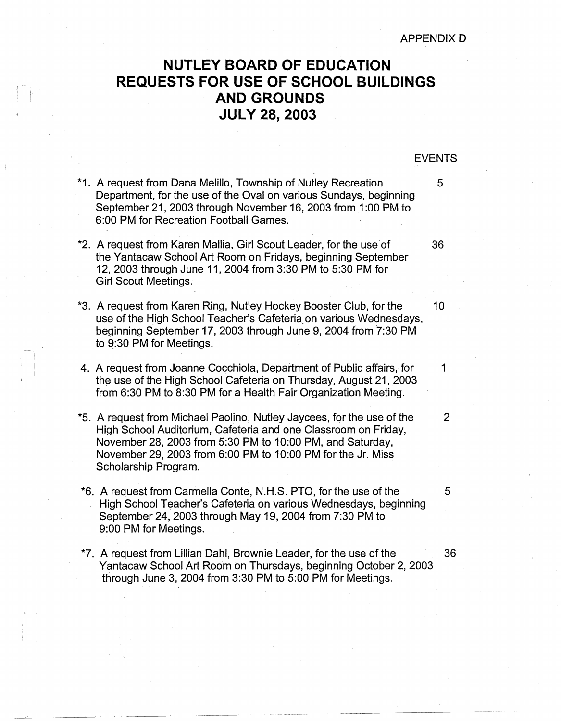## **NUTLEY BOARD OF EDUCATION REQUESTS FOR USE OF SCHOOL BUILDINGS AND GROUNDS JULY 28, 2003**

## EVENTS

- \*1. A request from Dana Melillo, Township of Nutley Recreation 5 Department, for the use of the Oval on various Sundays, beginning September 21, 2003 through November 16, 2003 from 1 :00 PM to 6:00 PM for Recreation Football Games.
- \*2. A request from Karen Mallia, Girl Scout Leader, for the use of 36 the Yantacaw School Art Room on Fridays, beginning September 12, 2003 through June 11, 2004 from 3:30 PM to 5:30 PM for Girl Scout Meetings.
- \*3. A request from Karen Ring, Nutley Hockey Booster Club, for the 10 use of the High School Teacher's Cafeteria on various Wednesdays, beginning September 17, 2003 through June 9, 2004 from 7:30 PM to 9:30 PM for Meetings.
- 4. A request from Joanne Cocchiola, Department of Public affairs, for 1 the use of the High School Cafeteria on Thursday, August 21, 2003 from 6:30 PM to 8:30 PM for a Health Fair Organization Meeting.
- \*5. A request from Michael Paolino, Nutley Jaycees, for the use of the 2 High School Auditorium, Cafeteria and one Classroom on Friday, November 28, 2003 from 5:30 PM to 10:00 PM, and Saturday, November 29, 2003 from 6:00 PM to 10:00 PM for the Jr. Miss Scholarship Program.
- \*6. A request from Carmella Conte, N.H.S. PTO, for the use of the 5 High School Teacher's Cafeteria on various Wednesdays, beginning September 24, 2003 through May 19, 2004 from 7:30 PM to 9:00 PM for Meetings.
- \*7. A request from Lillian Dahl, Brownie Leader, for the use of the 36 Yantacaw School Art Room on Thursdays, beginning October 2, 2003 through June 3, 2004 from 3:30 PM to 5:00 PM for Meetings.